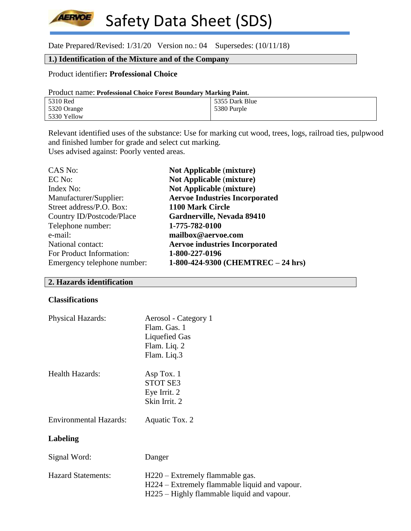Safety Data Sheet (SDS) **AERVOE** 

Date Prepared/Revised: 1/31/20 Version no.: 04 Supersedes: (10/11/18)

# **1.) Identification of the Mixture and of the Company**

#### Product identifier**: Professional Choice**

| Product name: Professional Choice Forest Boundary Marking Paint. |                |  |
|------------------------------------------------------------------|----------------|--|
| 5310 Red                                                         | 5355 Dark Blue |  |
| 5320 Orange                                                      | 5380 Purple    |  |
| 5330 Yellow                                                      |                |  |

Relevant identified uses of the substance: Use for marking cut wood, trees, logs, railroad ties, pulpwood and finished lumber for grade and select cut marking. Uses advised against: Poorly vented areas.

| CAS No:                     | <b>Not Applicable (mixture)</b>       |
|-----------------------------|---------------------------------------|
| EC No:                      | <b>Not Applicable (mixture)</b>       |
| Index No:                   | <b>Not Applicable (mixture)</b>       |
| Manufacturer/Supplier:      | <b>Aervoe Industries Incorporated</b> |
| Street address/P.O. Box:    | 1100 Mark Circle                      |
| Country ID/Postcode/Place   | Gardnerville, Nevada 89410            |
| Telephone number:           | 1-775-782-0100                        |
| e-mail:                     | mailbox@aervoe.com                    |
| National contact:           | <b>Aervoe industries Incorporated</b> |
| For Product Information:    | 1-800-227-0196                        |
| Emergency telephone number: | 1-800-424-9300 (CHEMTREC - 24 hrs)    |

#### **2. Hazards identification**

#### **Classifications**

| <b>Physical Hazards:</b>      | Aerosol - Category 1<br>Flam. Gas. 1<br>Liquefied Gas<br>Flam. Liq. 2<br>Flam. Liq.3                                           |
|-------------------------------|--------------------------------------------------------------------------------------------------------------------------------|
| <b>Health Hazards:</b>        | Asp Tox. 1<br><b>STOT SE3</b><br>Eye Irrit. 2<br>Skin Irrit. 2                                                                 |
| <b>Environmental Hazards:</b> | Aquatic Tox. 2                                                                                                                 |
| Labeling                      |                                                                                                                                |
| Signal Word:                  | Danger                                                                                                                         |
| <b>Hazard Statements:</b>     | H220 – Extremely flammable gas.<br>H224 – Extremely flammable liquid and vapour.<br>H225 – Highly flammable liquid and vapour. |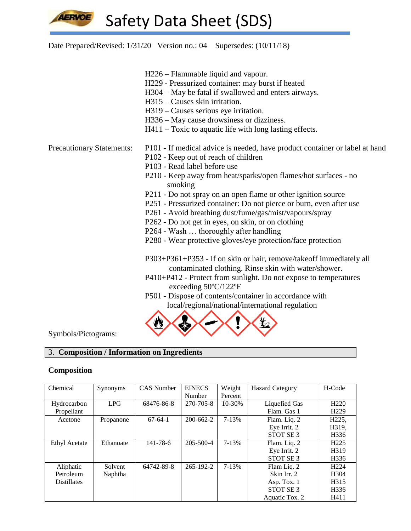

Date Prepared/Revised: 1/31/20 Version no.: 04 Supersedes: (10/11/18)

- H226 Flammable liquid and vapour.
- H229 Pressurized container: may burst if heated
- H304 May be fatal if swallowed and enters airways.
- H315 Causes skin irritation.
- H319 Causes serious eye irritation.
- H336 May cause drowsiness or dizziness.
- H411 Toxic to aquatic life with long lasting effects.

- Precautionary Statements: P101 If medical advice is needed, have product container or label at hand
	- P102 Keep out of reach of children
	- P103 Read label before use
	- P210 Keep away from heat/sparks/open flames/hot surfaces no smoking
	- P211 Do not spray on an open flame or other ignition source
	- P251 Pressurized container: Do not pierce or burn, even after use
	- P261 Avoid breathing dust/fume/gas/mist/vapours/spray
	- P262 Do not get in eyes, on skin, or on clothing
	- P264 Wash … thoroughly after handling
	- P280 Wear protective gloves/eye protection/face protection

P303+P361+P353 - If on skin or hair, remove/takeoff immediately all contaminated clothing. Rinse skin with water/shower.

- P410+P412 Protect from sunlight. Do not expose to temperatures exceeding 50ºC/122ºF
- P501 Dispose of contents/container in accordance with local/regional/national/international regulation



Symbols/Pictograms:

## 3. **Composition / Information on Ingredients**

## **Composition**

| Chemical             | Synonyms  | <b>CAS</b> Number | <b>EINECS</b>   | Weight    | <b>Hazard Category</b> | H-Code             |
|----------------------|-----------|-------------------|-----------------|-----------|------------------------|--------------------|
|                      |           |                   | Number          | Percent   |                        |                    |
| Hydrocarbon          | LPG       | 68476-86-8        | 270-705-8       | 10-30%    | <b>Liquefied Gas</b>   | H <sub>220</sub>   |
| Propellant           |           |                   |                 |           | Flam. Gas 1            | H <sub>229</sub>   |
| Acetone              | Propanone | $67-64-1$         | $200 - 662 - 2$ | 7-13%     | Flam. Liq. 2           | H <sub>225</sub> , |
|                      |           |                   |                 |           | Eye Irrit. 2           | H319,              |
|                      |           |                   |                 |           | STOT SE <sub>3</sub>   | H336               |
| <b>Ethyl Acetate</b> | Ethanoate | $141 - 78 - 6$    | 205-500-4       | $7 - 13%$ | Flam. Liq. 2           | H <sub>225</sub>   |
|                      |           |                   |                 |           | Eye Irrit. 2           | H319               |
|                      |           |                   |                 |           | STOT SE <sub>3</sub>   | H336               |
| Aliphatic            | Solvent   | 64742-89-8        | $265 - 192 - 2$ | 7-13%     | Flam Liq. 2            | H <sub>224</sub>   |
| Petroleum            | Naphtha   |                   |                 |           | Skin Irr. 2            | H <sub>304</sub>   |
| <b>Distillates</b>   |           |                   |                 |           | Asp. Tox. 1            | H315               |
|                      |           |                   |                 |           | STOT SE <sub>3</sub>   | H336               |
|                      |           |                   |                 |           | Aquatic Tox. 2         | H411               |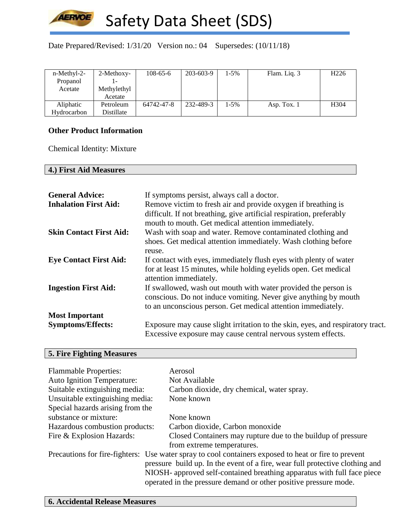

Date Prepared/Revised: 1/31/20 Version no.: 04 Supersedes: (10/11/18)

| n-Methyl-2- | 2-Methoxy-  | $108 - 65 - 6$ | 203-603-9 | $1 - 5\%$ | Flam. Liq. 3 | H <sub>226</sub> |
|-------------|-------------|----------------|-----------|-----------|--------------|------------------|
| Propanol    |             |                |           |           |              |                  |
| Acetate     | Methylethyl |                |           |           |              |                  |
|             | Acetate     |                |           |           |              |                  |
| Aliphatic   | Petroleum   | 64742-47-8     | 232-489-3 | $1 - 5\%$ | Asp. Tox. 1  | H <sub>304</sub> |
| Hydrocarbon | Distillate  |                |           |           |              |                  |

# **Other Product Information**

Chemical Identity: Mixture

## **4.) First Aid Measures**

| <b>General Advice:</b><br><b>Inhalation First Aid:</b> | If symptoms persist, always call a doctor.<br>Remove victim to fresh air and provide oxygen if breathing is<br>difficult. If not breathing, give artificial respiration, preferably<br>mouth to mouth. Get medical attention immediately. |
|--------------------------------------------------------|-------------------------------------------------------------------------------------------------------------------------------------------------------------------------------------------------------------------------------------------|
| <b>Skin Contact First Aid:</b>                         | Wash with soap and water. Remove contaminated clothing and<br>shoes. Get medical attention immediately. Wash clothing before<br>reuse.                                                                                                    |
| <b>Eye Contact First Aid:</b>                          | If contact with eyes, immediately flush eyes with plenty of water<br>for at least 15 minutes, while holding eyelids open. Get medical<br>attention immediately.                                                                           |
| <b>Ingestion First Aid:</b>                            | If swallowed, wash out mouth with water provided the person is<br>conscious. Do not induce vomiting. Never give anything by mouth<br>to an unconscious person. Get medical attention immediately.                                         |
| <b>Most Important</b>                                  |                                                                                                                                                                                                                                           |
| <b>Symptoms/Effects:</b>                               | Exposure may cause slight irritation to the skin, eyes, and respiratory tract.<br>Excessive exposure may cause central nervous system effects.                                                                                            |

## **5. Fire Fighting Measures**

| <b>Flammable Properties:</b>      | Aerosol                                                                                                                                                                                                                                                                                                                             |
|-----------------------------------|-------------------------------------------------------------------------------------------------------------------------------------------------------------------------------------------------------------------------------------------------------------------------------------------------------------------------------------|
| <b>Auto Ignition Temperature:</b> | Not Available                                                                                                                                                                                                                                                                                                                       |
| Suitable extinguishing media:     | Carbon dioxide, dry chemical, water spray.                                                                                                                                                                                                                                                                                          |
| Unsuitable extinguishing media:   | None known                                                                                                                                                                                                                                                                                                                          |
| Special hazards arising from the  |                                                                                                                                                                                                                                                                                                                                     |
| substance or mixture:             | None known                                                                                                                                                                                                                                                                                                                          |
| Hazardous combustion products:    | Carbon dioxide, Carbon monoxide                                                                                                                                                                                                                                                                                                     |
| Fire & Explosion Hazards:         | Closed Containers may rupture due to the buildup of pressure                                                                                                                                                                                                                                                                        |
|                                   | from extreme temperatures.                                                                                                                                                                                                                                                                                                          |
|                                   | Precautions for fire-fighters: Use water spray to cool containers exposed to heat or fire to prevent<br>pressure build up. In the event of a fire, wear full protective clothing and<br>NIOSH- approved self-contained breathing apparatus with full face piece<br>operated in the pressure demand or other positive pressure mode. |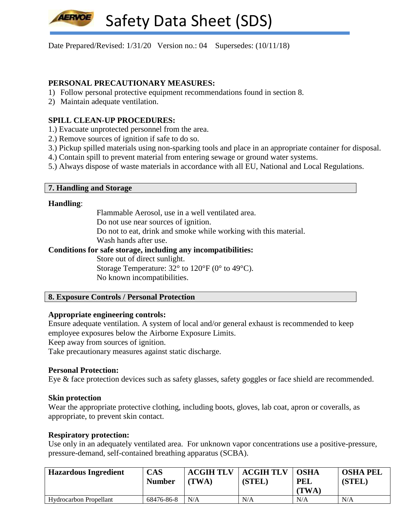Date Prepared/Revised: 1/31/20 Version no.: 04 Supersedes: (10/11/18)

# **PERSONAL PRECAUTIONARY MEASURES:**

- 1) Follow personal protective equipment recommendations found in section 8.
- 2) Maintain adequate ventilation.

## **SPILL CLEAN-UP PROCEDURES:**

- 1.) Evacuate unprotected personnel from the area.
- 2.) Remove sources of ignition if safe to do so.
- 3.) Pickup spilled materials using non-sparking tools and place in an appropriate container for disposal.
- 4.) Contain spill to prevent material from entering sewage or ground water systems.
- 5.) Always dispose of waste materials in accordance with all EU, National and Local Regulations.

## **7. Handling and Storage**

#### **Handling**:

Flammable Aerosol, use in a well ventilated area.

Do not use near sources of ignition.

Do not to eat, drink and smoke while working with this material.

Wash hands after use.

## **Conditions for safe storage, including any incompatibilities:**

Store out of direct sunlight. Storage Temperature:  $32^{\circ}$  to  $120^{\circ}$  F (0° to 49°C). No known incompatibilities.

## **8. Exposure Controls / Personal Protection**

## **Appropriate engineering controls:**

Ensure adequate ventilation. A system of local and/or general exhaust is recommended to keep employee exposures below the Airborne Exposure Limits.

Keep away from sources of ignition.

Take precautionary measures against static discharge.

## **Personal Protection:**

Eye & face protection devices such as safety glasses, safety goggles or face shield are recommended.

#### **Skin protection**

Wear the appropriate protective clothing, including boots, gloves, lab coat, apron or coveralls, as appropriate, to prevent skin contact.

## **Respiratory protection:**

Use only in an adequately ventilated area. For unknown vapor concentrations use a positive-pressure, pressure-demand, self-contained breathing apparatus (SCBA).

| <b>Hazardous Ingredient</b>   | <b>CAS</b><br><b>Number</b> | <b>ACGIH TLV</b><br>(TWA) | <b>ACGIH TLV</b><br>(STEL) | <b>OSHA</b><br><b>PEL</b><br><b>(TWA)</b> | <b>OSHA PEL</b><br>(STEL) |
|-------------------------------|-----------------------------|---------------------------|----------------------------|-------------------------------------------|---------------------------|
| <b>Hydrocarbon Propellant</b> | 68476-86-8                  | N/A                       | N/A                        | N/A                                       | N/A                       |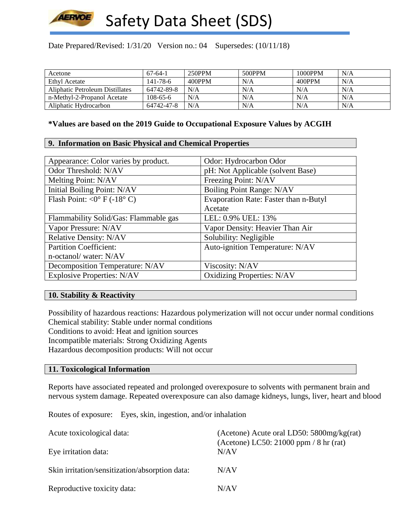

Date Prepared/Revised: 1/31/20 Version no.: 04 Supersedes: (10/11/18)

| Acetone                         | $67-64-1$  | 250PPM | 500PPM | 1000PPM | N/A |
|---------------------------------|------------|--------|--------|---------|-----|
| Ethyl Acetate                   | 141-78-6   | 400PPM | N/A    | 400PPM  | N/A |
| Aliphatic Petroleum Distillates | 64742-89-8 | N/A    | N/A    | N/A     | N/A |
| n-Methyl-2-Propanol Acetate     | $108-65-6$ | N/A    | N/A    | N/A     | N/A |
| Aliphatic Hydrocarbon           | 64742-47-8 | N/A    | N/A    | N/A     | N/A |

#### **\*Values are based on the 2019 Guide to Occupational Exposure Values by ACGIH**

## **9. Information on Basic Physical and Chemical Properties**

| Odor: Hydrocarbon Odor                |
|---------------------------------------|
| pH: Not Applicable (solvent Base)     |
| Freezing Point: N/AV                  |
| <b>Boiling Point Range: N/AV</b>      |
| Evaporation Rate: Faster than n-Butyl |
| Acetate                               |
| LEL: 0.9% UEL: 13%                    |
| Vapor Density: Heavier Than Air       |
| Solubility: Negligible                |
| Auto-ignition Temperature: N/AV       |
|                                       |
| Viscosity: N/AV                       |
| <b>Oxidizing Properties: N/AV</b>     |
|                                       |

## **10. Stability & Reactivity**

Possibility of hazardous reactions: Hazardous polymerization will not occur under normal conditions Chemical stability: Stable under normal conditions Conditions to avoid: Heat and ignition sources Incompatible materials: Strong Oxidizing Agents Hazardous decomposition products: Will not occur

#### **11. Toxicological Information**

Reports have associated repeated and prolonged overexposure to solvents with permanent brain and nervous system damage. Repeated overexposure can also damage kidneys, lungs, liver, heart and blood

Routes of exposure: Eyes, skin, ingestion, and/or inhalation

| Acute toxicological data:                      | (Acetone) Acute oral LD50: $5800$ mg/kg(rat)<br>(Acetone) LC50: 21000 ppm $/ 8$ hr (rat) |
|------------------------------------------------|------------------------------------------------------------------------------------------|
| Eye irritation data:                           | N/AV                                                                                     |
| Skin irritation/sensitization/absorption data: | N/AV                                                                                     |
| Reproductive toxicity data:                    | N/AV                                                                                     |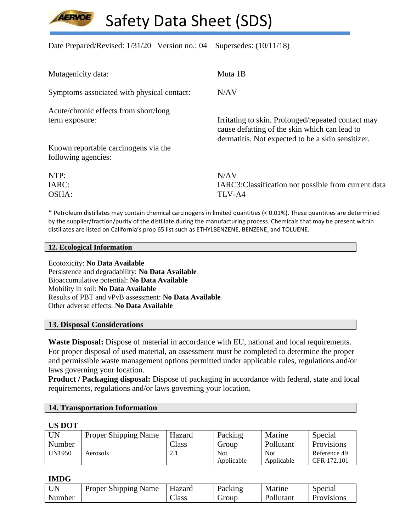Date Prepared/Revised: 1/31/20 Version no.: 04 Supersedes: (10/11/18)

| Mutagenicity data:                         | Muta 1B                                                                                                                                                  |
|--------------------------------------------|----------------------------------------------------------------------------------------------------------------------------------------------------------|
| Symptoms associated with physical contact: | N/AV                                                                                                                                                     |
| Acute/chronic effects from short/long      |                                                                                                                                                          |
| term exposure:                             | Irritating to skin. Prolonged/repeated contact may<br>cause defatting of the skin which can lead to<br>dermatitis. Not expected to be a skin sensitizer. |
| Known reportable carcinogens via the       |                                                                                                                                                          |
| following agencies:                        |                                                                                                                                                          |
| NTP:                                       | N/AV                                                                                                                                                     |
| IARC:                                      | IARC3: Classification not possible from current data                                                                                                     |
| OSHA:                                      | TLV-A4                                                                                                                                                   |

\* Petroleum distillates may contain chemical carcinogens in limited quantities (< 0.01%). These quantities are determined by the supplier/fraction/purity of the distillate during the manufacturing process. Chemicals that may be present within distillates are listed on California's prop 65 list such as ETHYLBENZENE, BENZENE, and TOLUENE.

#### **12. Ecological Information**

Ecotoxicity: **No Data Available** Persistence and degradability: **No Data Available** Bioaccumulative potential: **No Data Available** Mobility in soil: **No Data Available** Results of PBT and vPvB assessment: **No Data Available** Other adverse effects: **No Data Available**

## **13. Disposal Considerations**

**Waste Disposal:** Dispose of material in accordance with EU, national and local requirements. For proper disposal of used material, an assessment must be completed to determine the proper and permissible waste management options permitted under applicable rules, regulations and/or laws governing your location.

**Product / Packaging disposal:** Dispose of packaging in accordance with federal, state and local requirements, regulations and/or laws governing your location.

| <b>14. Transportation Information</b> |  |
|---------------------------------------|--|
|---------------------------------------|--|

#### **US DOT**

| <b>UN</b>     | Proper Shipping Name | Hazard        | Packing    | Marine     | Special           |
|---------------|----------------------|---------------|------------|------------|-------------------|
| Number        |                      | $\gamma$ lass | Group      | Pollutant  | <b>Provisions</b> |
| <b>UN1950</b> | Aerosols             | 2. l          | <b>Not</b> | <b>Not</b> | Reference 49      |
|               |                      |               | Applicable | Applicable | CFR 172.101       |

#### **IMDG**

| <b>UN</b> | Proper Shipping Name | Hazard | Packing | Marine    | Special           |
|-----------|----------------------|--------|---------|-----------|-------------------|
| Number    |                      | – lass | Group   | Pollutant | <b>Provisions</b> |